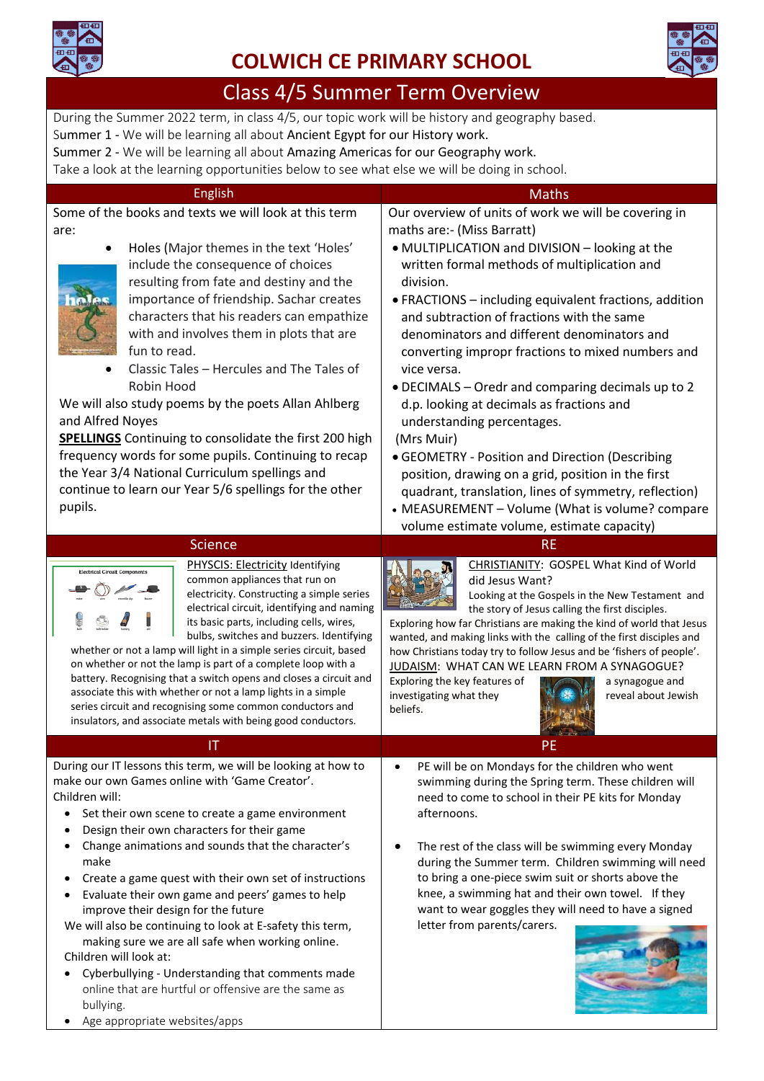

Age appropriate websites/apps

# **COLWICH CE PRIMARY SCHOOL**



# Class 4/5 Summer Term Overview

During the Summer 2022 term, in class 4/5, our topic work will be history and geography based.

Summer 1 - We will be learning all about Ancient Egypt for our History work.

Summer 2 - We will be learning all about Amazing Americas for our Geography work.

Take a look at the learning opportunities below to see what else we will be doing in school.

| <b>English</b>                                                                                                            | <b>Maths</b>                                                                                                         |
|---------------------------------------------------------------------------------------------------------------------------|----------------------------------------------------------------------------------------------------------------------|
| Some of the books and texts we will look at this term                                                                     | Our overview of units of work we will be covering in                                                                 |
| are:                                                                                                                      | maths are:- (Miss Barratt)                                                                                           |
| Holes (Major themes in the text 'Holes'                                                                                   | • MULTIPLICATION and DIVISION - looking at the                                                                       |
| include the consequence of choices                                                                                        | written formal methods of multiplication and                                                                         |
| resulting from fate and destiny and the                                                                                   | division.                                                                                                            |
| importance of friendship. Sachar creates                                                                                  | • FRACTIONS - including equivalent fractions, addition                                                               |
| characters that his readers can empathize                                                                                 | and subtraction of fractions with the same                                                                           |
| with and involves them in plots that are                                                                                  | denominators and different denominators and                                                                          |
| fun to read.                                                                                                              | converting impropr fractions to mixed numbers and                                                                    |
| Classic Tales - Hercules and The Tales of<br>Robin Hood                                                                   | vice versa.                                                                                                          |
| We will also study poems by the poets Allan Ahlberg                                                                       | • DECIMALS - Oredr and comparing decimals up to 2                                                                    |
| and Alfred Noyes                                                                                                          | d.p. looking at decimals as fractions and<br>understanding percentages.                                              |
| <b>SPELLINGS</b> Continuing to consolidate the first 200 high                                                             | (Mrs Muir)                                                                                                           |
| frequency words for some pupils. Continuing to recap                                                                      | • GEOMETRY - Position and Direction (Describing                                                                      |
| the Year 3/4 National Curriculum spellings and                                                                            | position, drawing on a grid, position in the first                                                                   |
| continue to learn our Year 5/6 spellings for the other                                                                    | quadrant, translation, lines of symmetry, reflection)                                                                |
| pupils.                                                                                                                   | • MEASUREMENT - Volume (What is volume? compare                                                                      |
|                                                                                                                           | volume estimate volume, estimate capacity)                                                                           |
| <b>Science</b>                                                                                                            | <b>RE</b>                                                                                                            |
| PHYSCIS: Electricity Identifying<br><b>Electrical Circuit Components</b>                                                  | CHRISTIANITY: GOSPEL What Kind of World                                                                              |
| common appliances that run on                                                                                             | did Jesus Want?                                                                                                      |
| electricity. Constructing a simple series<br>electrical circuit, identifying and naming                                   | Looking at the Gospels in the New Testament and<br>the story of Jesus calling the first disciples.                   |
| its basic parts, including cells, wires,                                                                                  | Exploring how far Christians are making the kind of world that Jesus                                                 |
| bulbs, switches and buzzers. Identifying<br>whether or not a lamp will light in a simple series circuit, based            | wanted, and making links with the calling of the first disciples and                                                 |
| on whether or not the lamp is part of a complete loop with a                                                              | how Christians today try to follow Jesus and be 'fishers of people'.<br>JUDAISM: WHAT CAN WE LEARN FROM A SYNAGOGUE? |
| battery. Recognising that a switch opens and closes a circuit and                                                         | Exploring the key features of<br>a synagogue and                                                                     |
| associate this with whether or not a lamp lights in a simple                                                              | reveal about Jewish<br>investigating what they                                                                       |
| series circuit and recognising some common conductors and<br>insulators, and associate metals with being good conductors. | beliefs.                                                                                                             |
|                                                                                                                           |                                                                                                                      |
| IT                                                                                                                        | PE                                                                                                                   |
| During our IT lessons this term, we will be looking at how to<br>make our own Games online with 'Game Creator'.           | PE will be on Mondays for the children who went<br>swimming during the Spring term. These children will              |
| Children will:                                                                                                            | need to come to school in their PE kits for Monday                                                                   |
| Set their own scene to create a game environment<br>$\bullet$                                                             | afternoons.                                                                                                          |
| Design their own characters for their game<br>٠                                                                           |                                                                                                                      |
| Change animations and sounds that the character's                                                                         | The rest of the class will be swimming every Monday<br>٠                                                             |
| make                                                                                                                      | during the Summer term. Children swimming will need                                                                  |
| Create a game quest with their own set of instructions                                                                    | to bring a one-piece swim suit or shorts above the                                                                   |
| Evaluate their own game and peers' games to help<br>$\bullet$<br>improve their design for the future                      | knee, a swimming hat and their own towel. If they<br>want to wear goggles they will need to have a signed            |
| We will also be continuing to look at E-safety this term,                                                                 | letter from parents/carers.                                                                                          |
| making sure we are all safe when working online.                                                                          |                                                                                                                      |
| Children will look at:                                                                                                    |                                                                                                                      |
| Cyberbullying - Understanding that comments made                                                                          |                                                                                                                      |
| online that are hurtful or offensive are the same as                                                                      |                                                                                                                      |
| bullying.                                                                                                                 |                                                                                                                      |